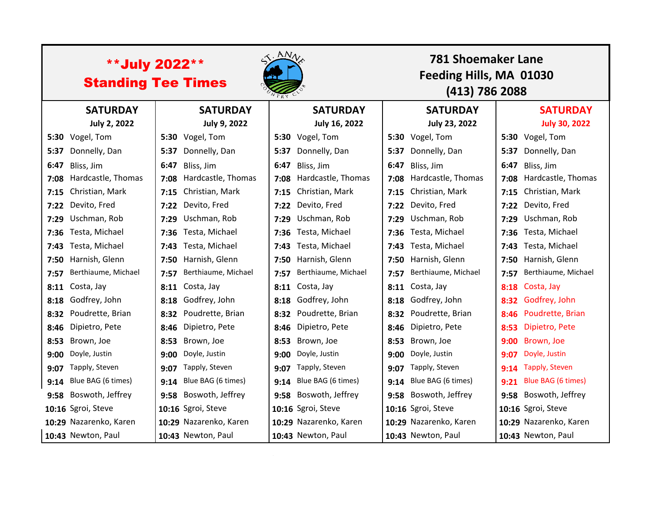| <b>**July 2022**</b><br><b>Standing Tee Times</b> |                         |      |                        | S. ANN |                          |      | 781 Shoemaker Lane<br>Feeding Hills, MA 01030<br>(413) 786 2088 |      |                        |  |
|---------------------------------------------------|-------------------------|------|------------------------|--------|--------------------------|------|-----------------------------------------------------------------|------|------------------------|--|
|                                                   | <b>SATURDAY</b>         |      | <b>SATURDAY</b>        |        | <b>SATURDAY</b>          |      | <b>SATURDAY</b>                                                 |      | <b>SATURDAY</b>        |  |
|                                                   | <b>July 2, 2022</b>     |      | July 9, 2022           |        | July 16, 2022            |      | <b>July 23, 2022</b>                                            |      | <b>July 30, 2022</b>   |  |
|                                                   | 5:30 Vogel, Tom         |      | 5:30 Vogel, Tom        |        | 5:30 Vogel, Tom          | 5:30 | Vogel, Tom                                                      |      | 5:30 Vogel, Tom        |  |
| 5:37                                              | Donnelly, Dan           | 5:37 | Donnelly, Dan          | 5:37   | Donnelly, Dan            | 5:37 | Donnelly, Dan                                                   |      | 5:37 Donnelly, Dan     |  |
| 6:47                                              | Bliss, Jim              | 6:47 | Bliss, Jim             | 6:47   | Bliss, Jim               | 6:47 | Bliss, Jim                                                      | 6:47 | Bliss, Jim             |  |
|                                                   | 7:08 Hardcastle, Thomas | 7:08 | Hardcastle, Thomas     |        | 7:08 Hardcastle, Thomas  | 7:08 | Hardcastle, Thomas                                              | 7:08 | Hardcastle, Thomas     |  |
|                                                   | 7:15 Christian, Mark    | 7:15 | Christian, Mark        |        | 7:15 Christian, Mark     | 7:15 | Christian, Mark                                                 |      | 7:15 Christian, Mark   |  |
|                                                   | 7:22 Devito, Fred       | 7:22 | Devito, Fred           |        | 7:22 Devito, Fred        | 7:22 | Devito, Fred                                                    | 7:22 | Devito, Fred           |  |
| 7:29                                              | Uschman, Rob            | 7:29 | Uschman, Rob           |        | 7:29 Uschman, Rob        | 7:29 | Uschman, Rob                                                    | 7:29 | Uschman, Rob           |  |
| 7:36                                              | Testa, Michael          | 7:36 | Testa, Michael         |        | 7:36 Testa, Michael      | 7:36 | Testa, Michael                                                  | 7:36 | Testa, Michael         |  |
| 7:43                                              | Testa, Michael          | 7:43 | Testa, Michael         |        | 7:43 Testa, Michael      | 7:43 | Testa, Michael                                                  | 7:43 | Testa, Michael         |  |
| 7:50                                              | Harnish, Glenn          | 7:50 | Harnish, Glenn         |        | 7:50 Harnish, Glenn      | 7:50 | Harnish, Glenn                                                  |      | 7:50 Harnish, Glenn    |  |
| 7:57                                              | Berthiaume, Michael     | 7:57 | Berthiaume, Michael    |        | 7:57 Berthiaume, Michael | 7:57 | Berthiaume, Michael                                             | 7:57 | Berthiaume, Michael    |  |
|                                                   | 8:11 Costa, Jay         | 8:11 | Costa, Jay             |        | 8:11 Costa, Jay          | 8:11 | Costa, Jay                                                      | 8:18 | Costa, Jay             |  |
|                                                   | 8:18 Godfrey, John      | 8:18 | Godfrey, John          |        | 8:18 Godfrey, John       | 8:18 | Godfrey, John                                                   |      | 8:32 Godfrey, John     |  |
| 8:32                                              | Poudrette, Brian        | 8:32 | Poudrette, Brian       |        | 8:32 Poudrette, Brian    | 8:32 | Poudrette, Brian                                                | 8:46 | Poudrette, Brian       |  |
|                                                   | 8:46 Dipietro, Pete     | 8:46 | Dipietro, Pete         | 8:46   | Dipietro, Pete           | 8:46 | Dipietro, Pete                                                  | 8:53 | Dipietro, Pete         |  |
| 8:53                                              | Brown, Joe              | 8:53 | Brown, Joe             | 8:53   | Brown, Joe               | 8:53 | Brown, Joe                                                      | 9:00 | Brown, Joe             |  |
| 9:00                                              | Doyle, Justin           | 9:00 | Doyle, Justin          | 9:00   | Doyle, Justin            | 9:00 | Doyle, Justin                                                   | 9:07 | Doyle, Justin          |  |
| 9:07                                              | Tapply, Steven          | 9:07 | Tapply, Steven         | 9:07   | Tapply, Steven           | 9:07 | Tapply, Steven                                                  |      | 9:14 Tapply, Steven    |  |
|                                                   | 9:14 Blue BAG (6 times) | 9:14 | Blue BAG (6 times)     | 9:14   | Blue BAG (6 times)       | 9:14 | Blue BAG (6 times)                                              | 9:21 | Blue BAG (6 times)     |  |
|                                                   | 9:58 Boswoth, Jeffrey   | 9:58 | Boswoth, Jeffrey       |        | 9:58 Boswoth, Jeffrey    | 9:58 | Boswoth, Jeffrey                                                |      | 9:58 Boswoth, Jeffrey  |  |
|                                                   | 10:16 Sgroi, Steve      |      | 10:16 Sgroi, Steve     |        | 10:16 Sgroi, Steve       |      | 10:16 Sgroi, Steve                                              |      | 10:16 Sgroi, Steve     |  |
|                                                   | 10:29 Nazarenko, Karen  |      | 10:29 Nazarenko, Karen |        | 10:29 Nazarenko, Karen   |      | 10:29 Nazarenko, Karen                                          |      | 10:29 Nazarenko, Karen |  |
|                                                   | 10:43 Newton, Paul      |      | 10:43 Newton, Paul     |        | 10:43 Newton, Paul       |      | 10:43 Newton, Paul                                              |      | 10:43 Newton, Paul     |  |